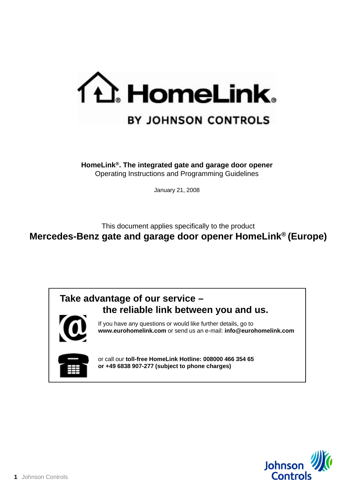

# **BY JOHNSON CONTROLS**

**HomeLink®. The integrated gate and garage door opener** Operating Instructions and Programming Guidelines

January 2 21, 2008

This document applies specifically to the product **Mercedes-Benz gate and garage door opener HomeLink® (Europe)**



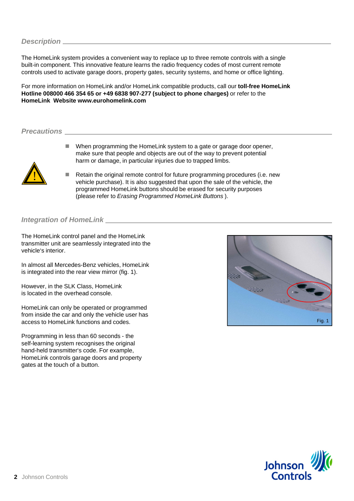#### *Description*

The HomeLink system provides a convenient way to replace up to three remote controls with a single built-in component. This innovative feature learns the radio f frequency codes of most current remote controls used to activate garage doors, property gates, security systems, and home or office lighting.

For more information on HomeLink and/or HomeLink compatible products, call our toll-free HomeLink **Hotline 008000 466 354 65 or +49 6838 907-277 (subject to phone charges)** or refer to the **HomeLink Website www.eurohomelink.com**

#### *Precautions*

- When programming the HomeLink system to a gate or garage door opener, make sure that people and objects are out of the way to prevent potential harm or damage, in particular injuries due to trapped limbs.
- !
- $\blacksquare$  Retain the original remote control for future programming procedures (i.e. new vehicle purchase). It is also suggested that upon the sale of the vehicle, the programmed HomeLink buttons should be erased for security purposes (please refer to *Erasing Programmed H HomeLink Buttons* ).

## *Integration of HomeLink*

The HomeLink control panel and the HomeLink transmitter unit are seamlessly integrated into the vehicle's interior.

In almost all Mercedes-Benz vehicles, HomeLink is integrated into the rear view mirror (fig. 1).

However, in the SLK Class, HomeLink is located in the overhead console.

HomeLink can only be operated or programmed from inside the car and only the vehicle user has access to HomeLink functions and codes.

Programming in less than 60 seconds - the self-learning system recognises the original hand-held transmitter's code. For example, HomeLink controls garage doors and property gates at the touch of a button.



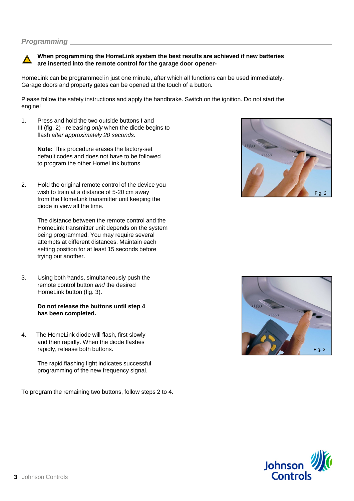

When programming the HomeLink system the best results are achieved if new batteries are inserted into the remote control for the garage door opener-

HomeLink can be programmed in just one minute, after which all functions can be used immediately. Garage doors and property gates can be opened at the touch of a button.

Please follow the safety instructions and apply the handbrake. Switch on the ignition. Do not start the engine!

1. Press and hold the two outside buttons I and III (fig. 2) - releasing *only* when the diode begins to flash *after approximately 20 seconds*.

> **Note:** This procedure erases the factory-set default codes and does not have to be followed to program the other HomeLink buttons.

2. Hold the original remote control of the device you wish to train at a distance of 5-20 cm away from the HomeLink transmitter unit keeping the diode in view all the time.

> The distance between the remote control and the HomeLink transmitter unit depends on the system being programmed. You may require several attempts at different distances. Maintain each setting position for at least 15 seconds before trying out another.

3. Using both hands, simultaneously push the remote control button *and* the desired HomeLink button (fig. 3).

#### **Do not release the buttons until step 4 has been completed.**

4. The HomeLink diode will flash, first slowly and then rapidly. When the diode flashes rapidly, release both buttons.

> The rapid flashing light indicates successful programming of the new frequency signal.

To program the remaining two buttons, follow steps 2 to 4.





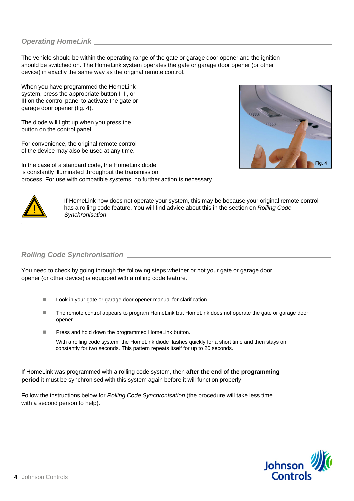### *Operating HomeLink*

The vehicle should be within the operating range of the gate e or garage door opener and the ignition should be switched on. The HomeLink system operates the gate or garage door opener (or other device) in exactly the same way as the original remote control.

When you have programmed the HomeLink system, press the appropriate button I, II, or III on the control panel to activate the gate or garage door opener (fig. 4).

The diode will light up when you press the button on the control panel.

For convenience, the original remote control of the device may also be used at any time.

In the case of a standard code, the HomeLink diode is constantly illuminated throughout the transmission process. For use with compatible systems, no further action is necessary.





If HomeLink now does not operate your system, this may be because your original remote control has a rolling code feature. You will find advice about this in the section on *Rolling Code*<br>Synchronisation

### *Rolling Code Synchronisation*

You need to check by going through the following steps whether or not your gate or garage door opener (or other device) is equipped with a rolling code feature.

- Look in your gate or garage door opener manual for clarification.
- The remote control appears to program HomeLink but HomeLink does not operate the gate or garage door opener.
- **Press and hold down the programmed HomeLink button.**

With a rolling code system, the HomeLink diode flashes quickly for a short time and then stays on constantly for two seconds. This pattern repeats itself for up to 20 seconds.

If HomeLink was programmed with a rolling code system, then **after the end of the programming period** it must be synchronised with this system again before it will function properly.

Follow the instructions below for *Rolling Code Synchronisat tion* (the procedure will take less timewith a second person to help).

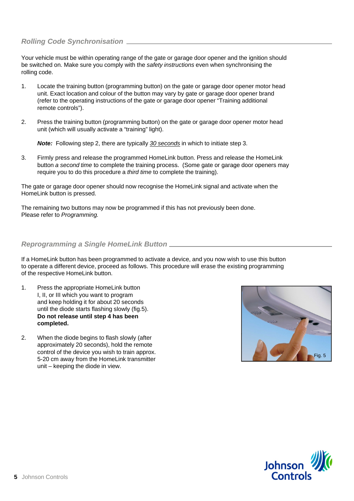Your vehicle must be within operating range of the gate or garage door opener and the ignition should be switched on. Make sure you comply with the *safety instructions* even when synchronising the rolling code.

- 1. Locate the training button (programming button) on th e gate or garage door opener motor head unit. Exact location and colour of the button may vary by gate or garage door opener brand (refer to the operating instructions of the gate or garag ge door opener "Training additional remote controls").
- 2. Press the training button (programming button) on the gate or garage door opener motor head unit (which will usually activate a "training" light).

**Note:** Following step 2, there are typically 30 seconds in which to initiate step 3.

3. Firmly press and release the programmed HomeLink button. Press and release the HomeLink button *a second time* to complete the training process. (Some gate or garage door openers may require you to do this procedure a *third time* to complete the training).

The gate or garage door opener should now recognise the H HomeLink signal and activate when the HomeLink button is pressed.

The remaining two buttons may now be programmed if this has not previously been done. Please refer to *Programming.*

#### *Reprogramming a Single HomeLink Button*

If a HomeLink button has been programmed to activate a device, and you now wish to use this button to operate a different device, proceed as follows. This procedure will erase the existing programming of the respective HomeLink button.

- 1. Press the appropriate HomeLink button I, II, or III which you want to program and keep holding it for about 20 seconds until the diode starts flashing slowly (fig.5). **Do not release until step 4 has been completed.**
- 2. When the diode begins to flash slowly (after approximately 20 seconds), hold the remote control of the device you wish to train approx. 5-20 cm away from the HomeLink transmitter unit – keeping the diode in view.



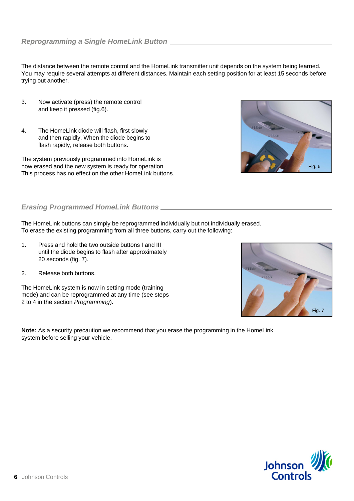The distance between the remote control and the HomeLink transmitter unit depends on the system being learned. You may require several attempts at different distances. Maintain each setting position for at least 15 seconds before trying out another.

- 3. Now activate (press) the remote control and keep it pressed (fig.6).
- 4. The HomeLink diode will flash, first slowly and then rapidly. When the diode begins to flash rapidly, release both buttons.

The system previously programmed into HomeLink is now erased and the new system is ready for operation. This process has no effect on the other HomeLink buttons.



## *Erasing Programmed HomeLink Buttons*

The HomeLink buttons can simply be reprogrammed individually but not individually erased To erase the existing programming from all three buttons, ca arry out the following:

- 1. Press and hold the two outside buttons I and III until the diode begins to flash after approximately 20 seconds (fig. 7).
- 2. Release both buttons.

The HomeLink system is now in setting mode (training mode) and can be reprogrammed at any time (see steps 2 to 4 in the section *Programming*).

Note: As a security precaution we recommend that you erase the programming in the HomeLink system before selling your vehicle.